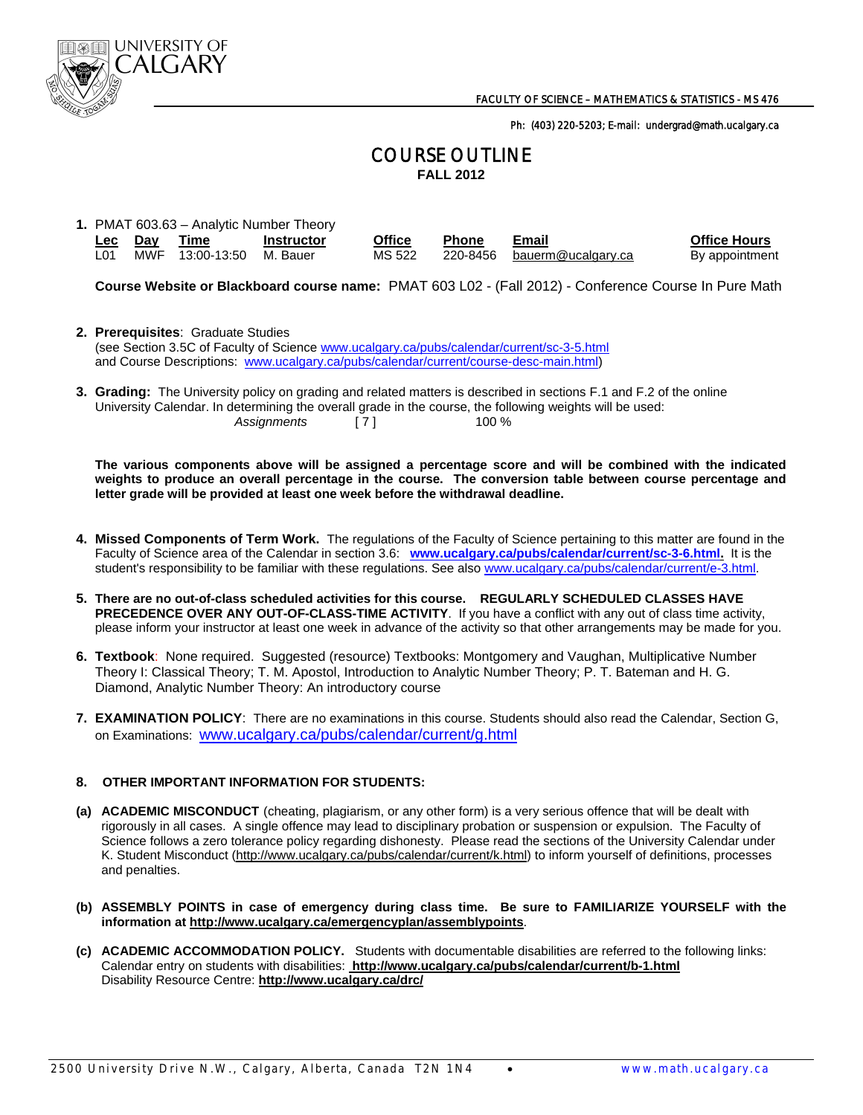

Ph: (403) 220-5203; E-mail: undergrad@math.ucalgary.ca

## COURSE OUTLINE **FALL 2012**

**1.** PMAT 603.63 – Analytic Number Theory

| <u>Lec Day</u> | <b>Time</b>              | <b>Instructor</b> | Office | <b>Phone</b> | Email                       | <b>Office Hours</b> |
|----------------|--------------------------|-------------------|--------|--------------|-----------------------------|---------------------|
| L01            | MWF 13:00-13:50 M. Bauer |                   | MS 522 |              | 220-8456 bauerm@ucalgary.ca | By appointment      |

**Course Website or Blackboard course name:** PMAT 603 L02 - (Fall 2012) - Conference Course In Pure Math

- **2. Prerequisites**: Graduate Studies (see Section 3.5C of Faculty of Science www.ucalgary.ca/pubs/calendar/current/sc-3-5.html and Course Descriptions: www.ucalgary.ca/pubs/calendar/current/course-desc-main.html)
- **3. Grading:** The University policy on grading and related matters is described in sections F.1 and F.2 of the online University Calendar. In determining the overall grade in the course, the following weights will be used: Assignments [ 7 ] 100 %

 **The various components above will be assigned a percentage score and will be combined with the indicated weights to produce an overall percentage in the course. The conversion table between course percentage and letter grade will be provided at least one week before the withdrawal deadline.** 

- **4. Missed Components of Term Work.** The regulations of the Faculty of Science pertaining to this matter are found in the Faculty of Science area of the Calendar in section 3.6: **www.ucalgary.ca/pubs/calendar/current/sc-3-6.html.** It is the student's responsibility to be familiar with these regulations. See also www.ucalgary.ca/pubs/calendar/current/e-3.html.
- **5. There are no out-of-class scheduled activities for this course. REGULARLY SCHEDULED CLASSES HAVE PRECEDENCE OVER ANY OUT-OF-CLASS-TIME ACTIVITY**. If you have a conflict with any out of class time activity, please inform your instructor at least one week in advance of the activity so that other arrangements may be made for you.
- **6. Textbook**: None required. Suggested (resource) Textbooks: Montgomery and Vaughan, Multiplicative Number Theory I: Classical Theory; T. M. Apostol, Introduction to Analytic Number Theory; P. T. Bateman and H. G. Diamond, Analytic Number Theory: An introductory course
- **7. EXAMINATION POLICY**: There are no examinations in this course. Students should also read the Calendar, Section G, on Examinations: www.ucalgary.ca/pubs/calendar/current/g.html

## **8. OTHER IMPORTANT INFORMATION FOR STUDENTS:**

- **(a) ACADEMIC MISCONDUCT** (cheating, plagiarism, or any other form) is a very serious offence that will be dealt with rigorously in all cases. A single offence may lead to disciplinary probation or suspension or expulsion. The Faculty of Science follows a zero tolerance policy regarding dishonesty. Please read the sections of the University Calendar under K. Student Misconduct (http://www.ucalgary.ca/pubs/calendar/current/k.html) to inform yourself of definitions, processes and penalties.
- **(b) ASSEMBLY POINTS in case of emergency during class time. Be sure to FAMILIARIZE YOURSELF with the information at http://www.ucalgary.ca/emergencyplan/assemblypoints**.
- **(c) ACADEMIC ACCOMMODATION POLICY.** Students with documentable disabilities are referred to the following links: Calendar entry on students with disabilities: **http://www.ucalgary.ca/pubs/calendar/current/b-1.html** Disability Resource Centre: **http://www.ucalgary.ca/drc/**